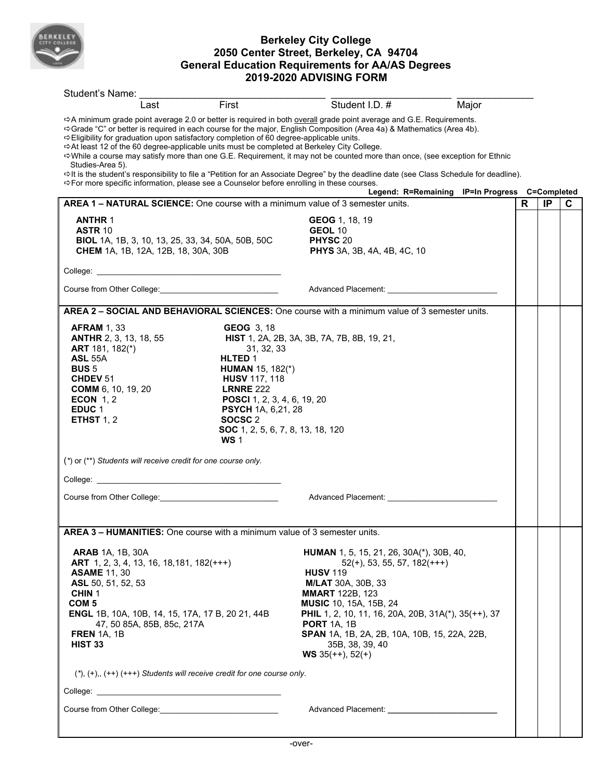

## **Berkeley City College 2050 Center Street, Berkeley, CA 94704 General Education Requirements for AA/AS Degrees 2019-2020 ADVISING FORM**

| Student's Name:                                                                                                                                                                                                                                                                                        |                                                                                                                                                                                                                                                        |                                                                                                                                                                                                                                                                                                                                                                                                                                                                                                                                      |       |   |    |   |
|--------------------------------------------------------------------------------------------------------------------------------------------------------------------------------------------------------------------------------------------------------------------------------------------------------|--------------------------------------------------------------------------------------------------------------------------------------------------------------------------------------------------------------------------------------------------------|--------------------------------------------------------------------------------------------------------------------------------------------------------------------------------------------------------------------------------------------------------------------------------------------------------------------------------------------------------------------------------------------------------------------------------------------------------------------------------------------------------------------------------------|-------|---|----|---|
| Last                                                                                                                                                                                                                                                                                                   | First                                                                                                                                                                                                                                                  | Student I.D. #                                                                                                                                                                                                                                                                                                                                                                                                                                                                                                                       | Major |   |    |   |
| ☆Eligibility for graduation upon satisfactory completion of 60 degree-applicable units.<br>→At least 12 of the 60 degree-applicable units must be completed at Berkeley City College.<br>Studies-Area 5).<br>⇒For more specific information, please see a Counselor before enrolling in these courses. |                                                                                                                                                                                                                                                        | $\Rightarrow$ A minimum grade point average 2.0 or better is required in both overall grade point average and G.E. Requirements.<br>Scrade "C" or better is required in each course for the major, English Composition (Area 4a) & Mathematics (Area 4b).<br>⇔While a course may satisfy more than one G.E. Requirement, it may not be counted more than once, (see exception for Ethnic<br>⇔It is the student's responsibility to file a "Petition for an Associate Degree" by the deadline date (see Class Schedule for deadline). |       |   |    |   |
| <b>AREA 1 – NATURAL SCIENCE:</b> One course with a minimum value of 3 semester units.                                                                                                                                                                                                                  |                                                                                                                                                                                                                                                        | Legend: R=Remaining IP=In Progress C=Completed                                                                                                                                                                                                                                                                                                                                                                                                                                                                                       |       | R | IP | C |
| <b>ANTHR 1</b><br><b>ASTR 10</b><br><b>BIOL</b> 1A, 1B, 3, 10, 13, 25, 33, 34, 50A, 50B, 50C<br>CHEM 1A, 1B, 12A, 12B, 18, 30A, 30B                                                                                                                                                                    |                                                                                                                                                                                                                                                        | GEOG 1, 18, 19<br><b>GEOL 10</b><br>PHYSC 20<br>PHYS 3A, 3B, 4A, 4B, 4C, 10                                                                                                                                                                                                                                                                                                                                                                                                                                                          |       |   |    |   |
|                                                                                                                                                                                                                                                                                                        |                                                                                                                                                                                                                                                        |                                                                                                                                                                                                                                                                                                                                                                                                                                                                                                                                      |       |   |    |   |
|                                                                                                                                                                                                                                                                                                        |                                                                                                                                                                                                                                                        |                                                                                                                                                                                                                                                                                                                                                                                                                                                                                                                                      |       |   |    |   |
|                                                                                                                                                                                                                                                                                                        |                                                                                                                                                                                                                                                        | AREA 2 - SOCIAL AND BEHAVIORAL SCIENCES: One course with a minimum value of 3 semester units.                                                                                                                                                                                                                                                                                                                                                                                                                                        |       |   |    |   |
| <b>AFRAM 1, 33</b><br><b>ANTHR</b> 2, 3, 13, 18, 55<br><b>ART</b> 181, 182(*)<br><b>ASL 55A</b><br><b>BUS 5</b><br><b>CHDEV 51</b><br>COMM 6, 10, 19, 20<br>ECON $1, 2$<br>EDUC <sub>1</sub><br><b>ETHST 1, 2</b>                                                                                      | <b>GEOG 3, 18</b><br>31, 32, 33<br>HLTED 1<br><b>HUMAN</b> 15, 182(*)<br><b>HUSV</b> 117, 118<br><b>LRNRE 222</b><br>POSCI 1, 2, 3, 4, 6, 19, 20<br><b>PSYCH</b> 1A, 6,21, 28<br>SOCSC <sub>2</sub><br>SOC 1, 2, 5, 6, 7, 8, 13, 18, 120<br><b>WS1</b> | <b>HIST</b> 1, 2A, 2B, 3A, 3B, 7A, 7B, 8B, 19, 21,                                                                                                                                                                                                                                                                                                                                                                                                                                                                                   |       |   |    |   |
| $(*)$ or $(**)$ Students will receive credit for one course only.                                                                                                                                                                                                                                      |                                                                                                                                                                                                                                                        |                                                                                                                                                                                                                                                                                                                                                                                                                                                                                                                                      |       |   |    |   |
|                                                                                                                                                                                                                                                                                                        |                                                                                                                                                                                                                                                        |                                                                                                                                                                                                                                                                                                                                                                                                                                                                                                                                      |       |   |    |   |
| Course from Other College: <b>Manual Access of Access 1999</b>                                                                                                                                                                                                                                         |                                                                                                                                                                                                                                                        | Advanced Placement: Andrew Placement                                                                                                                                                                                                                                                                                                                                                                                                                                                                                                 |       |   |    |   |
|                                                                                                                                                                                                                                                                                                        |                                                                                                                                                                                                                                                        |                                                                                                                                                                                                                                                                                                                                                                                                                                                                                                                                      |       |   |    |   |
| AREA 3 - HUMANITIES: One course with a minimum value of 3 semester units.                                                                                                                                                                                                                              |                                                                                                                                                                                                                                                        |                                                                                                                                                                                                                                                                                                                                                                                                                                                                                                                                      |       |   |    |   |
| <b>ARAB</b> 1A, 1B, 30A<br>ART 1, 2, 3, 4, 13, 16, 18, 181, 182(+++)<br><b>ASAME 11, 30</b><br>ASL 50, 51, 52, 53<br>CHIN <sub>1</sub><br>COM <sub>5</sub><br><b>ENGL</b> 1B, 10A, 10B, 14, 15, 17A, 17 B, 20 21, 44B<br>47, 50 85A, 85B, 85c, 217A<br><b>FREN</b> 1A, 1B<br><b>HIST 33</b>            |                                                                                                                                                                                                                                                        | HUMAN 1, 5, 15, 21, 26, 30A(*), 30B, 40,<br>$52(+)$ , 53, 55, 57, 182(+++)<br><b>HUSV</b> 119<br><b>M/LAT</b> 30A, 30B, 33<br><b>MMART</b> 122B, 123<br><b>MUSIC</b> 10, 15A, 15B, 24<br><b>PHIL</b> 1, 2, 10, 11, 16, 20A, 20B, 31A(*), 35(++), 37<br><b>PORT 1A, 1B</b><br>SPAN 1A, 1B, 2A, 2B, 10A, 10B, 15, 22A, 22B,<br>35B, 38, 39, 40<br><b>WS</b> 35(++), 52(+)                                                                                                                                                              |       |   |    |   |
| $(*)$ , $(+)$ , $(++)$ $(++)$ Students will receive credit for one course only.                                                                                                                                                                                                                        |                                                                                                                                                                                                                                                        |                                                                                                                                                                                                                                                                                                                                                                                                                                                                                                                                      |       |   |    |   |
|                                                                                                                                                                                                                                                                                                        |                                                                                                                                                                                                                                                        |                                                                                                                                                                                                                                                                                                                                                                                                                                                                                                                                      |       |   |    |   |
|                                                                                                                                                                                                                                                                                                        |                                                                                                                                                                                                                                                        |                                                                                                                                                                                                                                                                                                                                                                                                                                                                                                                                      |       |   |    |   |
|                                                                                                                                                                                                                                                                                                        |                                                                                                                                                                                                                                                        |                                                                                                                                                                                                                                                                                                                                                                                                                                                                                                                                      |       |   |    |   |